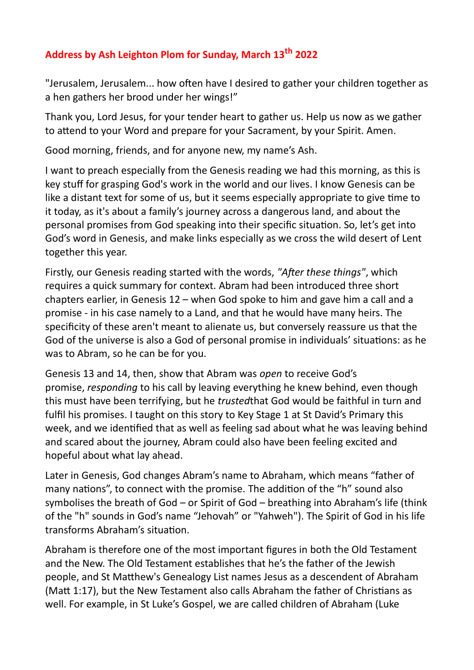## **Address by Ash Leighton Plom for Sunday, March 13th 2022**

"Jerusalem, Jerusalem... how often have I desired to gather your children together as a hen gathers her brood under her wings!"

Thank you, Lord Jesus, for your tender heart to gather us. Help us now as we gather to attend to your Word and prepare for your Sacrament, by your Spirit. Amen.

Good morning, friends, and for anyone new, my name's Ash.

I want to preach especially from the Genesis reading we had this morning, as this is key stuff for grasping God's work in the world and our lives. I know Genesis can be like a distant text for some of us, but it seems especially appropriate to give time to it today, as it's about a family's journey across a dangerous land, and about the personal promises from God speaking into their specific situation. So, let's get into God's word in Genesis, and make links especially as we cross the wild desert of Lent together this year.

Firstly, our Genesis reading started with the words, *"After these things"*, which requires a quick summary for context. Abram had been introduced three short chapters earlier, in Genesis 12 – when God spoke to him and gave him a call and a promise - in his case namely to a Land, and that he would have many heirs. The specificity of these aren't meant to alienate us, but conversely reassure us that the God of the universe is also a God of personal promise in individuals' situations: as he was to Abram, so he can be for you.

Genesis 13 and 14, then, show that Abram was *open* to receive God's promise, *responding* to his call by leaving everything he knew behind, even though this must have been terrifying, but he *trusted*that God would be faithful in turn and fulfil his promises. I taught on this story to Key Stage 1 at St David's Primary this week, and we identified that as well as feeling sad about what he was leaving behind and scared about the journey, Abram could also have been feeling excited and hopeful about what lay ahead.

Later in Genesis, God changes Abram's name to Abraham, which means "father of many nations", to connect with the promise. The addition of the "h" sound also symbolises the breath of God – or Spirit of God – breathing into Abraham's life (think of the "h" sounds in God's name "Jehovah" or "Yahweh"). The Spirit of God in his life transforms Abraham's situation.

Abraham is therefore one of the most important figures in both the Old Testament and the New. The Old Testament establishes that he's the father of the Jewish people, and St Matthew's Genealogy List names Jesus as a descendent of Abraham (Matt 1:17), but the New Testament also calls Abraham the father of Christians as well. For example, in St Luke's Gospel, we are called children of Abraham (Luke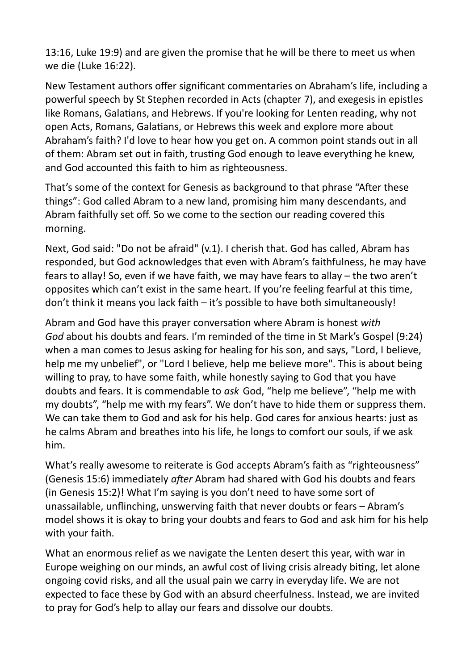13:16, Luke 19:9) and are given the promise that he will be there to meet us when we die (Luke 16:22).

New Testament authors offer significant commentaries on Abraham's life, including a powerful speech by St Stephen recorded in Acts (chapter 7), and exegesis in epistles like Romans, Galatians, and Hebrews. If you're looking for Lenten reading, why not open Acts, Romans, Galatians, or Hebrews this week and explore more about Abraham's faith? I'd love to hear how you get on. A common point stands out in all of them: Abram set out in faith, trusting God enough to leave everything he knew, and God accounted this faith to him as righteousness.

That's some of the context for Genesis as background to that phrase "After these things": God called Abram to a new land, promising him many descendants, and Abram faithfully set off. So we come to the section our reading covered this morning.

Next, God said: "Do not be afraid" (v.1). I cherish that. God has called, Abram has responded, but God acknowledges that even with Abram's faithfulness, he may have fears to allay! So, even if we have faith, we may have fears to allay – the two aren't opposites which can't exist in the same heart. If you're feeling fearful at this time, don't think it means you lack faith – it's possible to have both simultaneously!

Abram and God have this prayer conversation where Abram is honest *with God* about his doubts and fears. I'm reminded of the time in St Mark's Gospel (9:24) when a man comes to Jesus asking for healing for his son, and says, "Lord, I believe, help me my unbelief", or "Lord I believe, help me believe more". This is about being willing to pray, to have some faith, while honestly saying to God that you have doubts and fears. It is commendable to *ask* God, "help me believe", "help me with my doubts", "help me with my fears". We don't have to hide them or suppress them. We can take them to God and ask for his help. God cares for anxious hearts: just as he calms Abram and breathes into his life, he longs to comfort our souls, if we ask him.

What's really awesome to reiterate is God accepts Abram's faith as "righteousness" (Genesis 15:6) immediately *after* Abram had shared with God his doubts and fears (in Genesis 15:2)! What I'm saying is you don't need to have some sort of unassailable, unflinching, unswerving faith that never doubts or fears – Abram's model shows it is okay to bring your doubts and fears to God and ask him for his help with your faith.

What an enormous relief as we navigate the Lenten desert this year, with war in Europe weighing on our minds, an awful cost of living crisis already biting, let alone ongoing covid risks, and all the usual pain we carry in everyday life. We are not expected to face these by God with an absurd cheerfulness. Instead, we are invited to pray for God's help to allay our fears and dissolve our doubts.